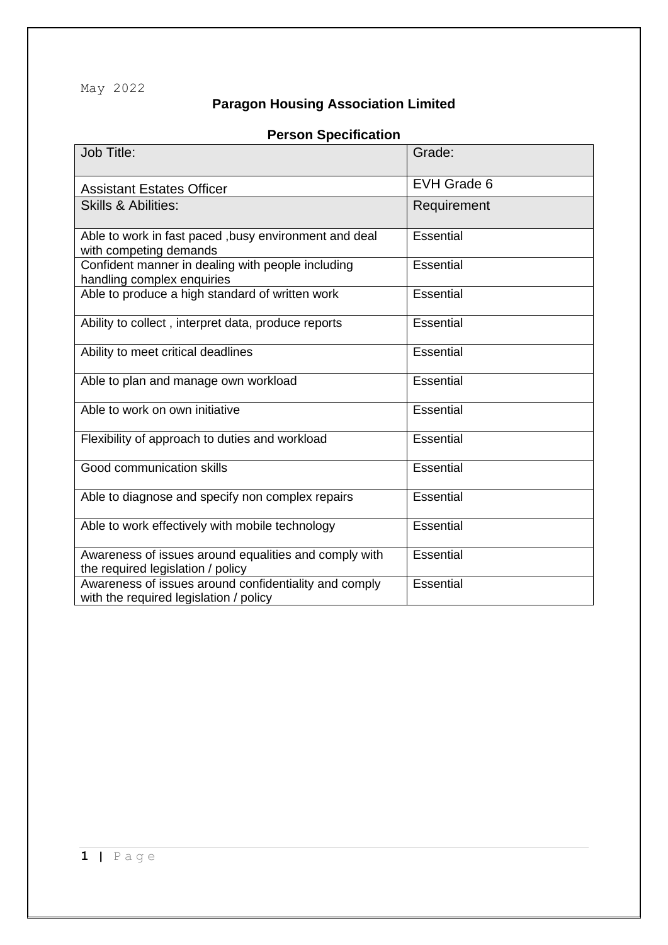May 2022

## **Paragon Housing Association Limited**

## **Person Specification**

| Job Title:                                                                                      | Grade:           |
|-------------------------------------------------------------------------------------------------|------------------|
| <b>Assistant Estates Officer</b>                                                                | EVH Grade 6      |
| <b>Skills &amp; Abilities:</b>                                                                  | Requirement      |
| Able to work in fast paced , busy environment and deal<br>with competing demands                | Essential        |
| Confident manner in dealing with people including<br>handling complex enquiries                 | <b>Essential</b> |
| Able to produce a high standard of written work                                                 | <b>Essential</b> |
| Ability to collect, interpret data, produce reports                                             | <b>Essential</b> |
| Ability to meet critical deadlines                                                              | <b>Essential</b> |
| Able to plan and manage own workload                                                            | <b>Essential</b> |
| Able to work on own initiative                                                                  | <b>Essential</b> |
| Flexibility of approach to duties and workload                                                  | <b>Essential</b> |
| Good communication skills                                                                       | <b>Essential</b> |
| Able to diagnose and specify non complex repairs                                                | <b>Essential</b> |
| Able to work effectively with mobile technology                                                 | Essential        |
| Awareness of issues around equalities and comply with<br>the required legislation / policy      | <b>Essential</b> |
| Awareness of issues around confidentiality and comply<br>with the required legislation / policy | <b>Essential</b> |